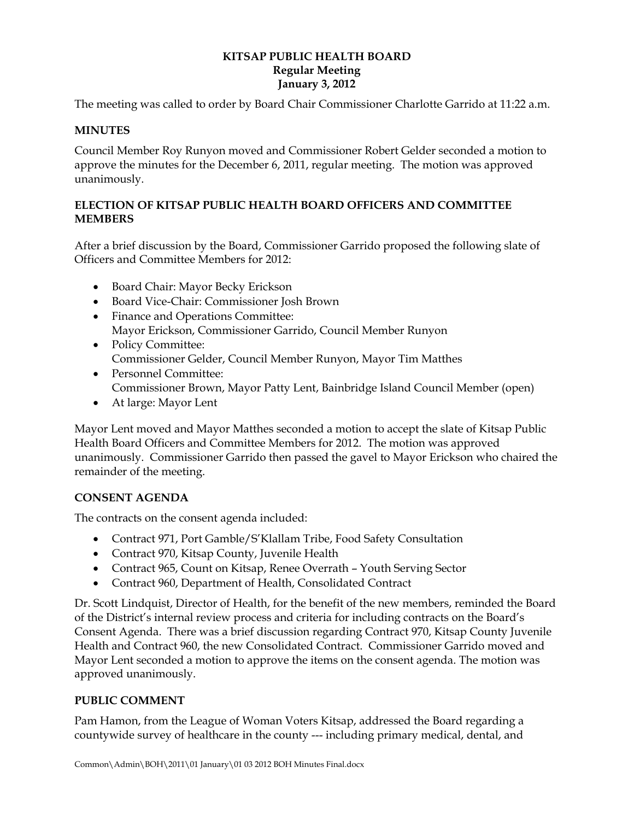### **KITSAP PUBLIC HEALTH BOARD Regular Meeting January 3, 2012**

The meeting was called to order by Board Chair Commissioner Charlotte Garrido at 11:22 a.m.

## **MINUTES**

Council Member Roy Runyon moved and Commissioner Robert Gelder seconded a motion to approve the minutes for the December 6, 2011, regular meeting. The motion was approved unanimously.

## **ELECTION OF KITSAP PUBLIC HEALTH BOARD OFFICERS AND COMMITTEE MEMBERS**

After a brief discussion by the Board, Commissioner Garrido proposed the following slate of Officers and Committee Members for 2012:

- Board Chair: Mayor Becky Erickson
- Board Vice-Chair: Commissioner Josh Brown
- Finance and Operations Committee: Mayor Erickson, Commissioner Garrido, Council Member Runyon
- Policy Committee: Commissioner Gelder, Council Member Runyon, Mayor Tim Matthes
- Personnel Committee: Commissioner Brown, Mayor Patty Lent, Bainbridge Island Council Member (open)
- At large: Mayor Lent

Mayor Lent moved and Mayor Matthes seconded a motion to accept the slate of Kitsap Public Health Board Officers and Committee Members for 2012. The motion was approved unanimously. Commissioner Garrido then passed the gavel to Mayor Erickson who chaired the remainder of the meeting.

# **CONSENT AGENDA**

The contracts on the consent agenda included:

- Contract 971, Port Gamble/S'Klallam Tribe, Food Safety Consultation
- Contract 970, Kitsap County, Juvenile Health
- Contract 965, Count on Kitsap, Renee Overrath Youth Serving Sector
- Contract 960, Department of Health, Consolidated Contract

Dr. Scott Lindquist, Director of Health, for the benefit of the new members, reminded the Board of the District's internal review process and criteria for including contracts on the Board's Consent Agenda. There was a brief discussion regarding Contract 970, Kitsap County Juvenile Health and Contract 960, the new Consolidated Contract. Commissioner Garrido moved and Mayor Lent seconded a motion to approve the items on the consent agenda. The motion was approved unanimously.

# **PUBLIC COMMENT**

Pam Hamon, from the League of Woman Voters Kitsap, addressed the Board regarding a countywide survey of healthcare in the county --- including primary medical, dental, and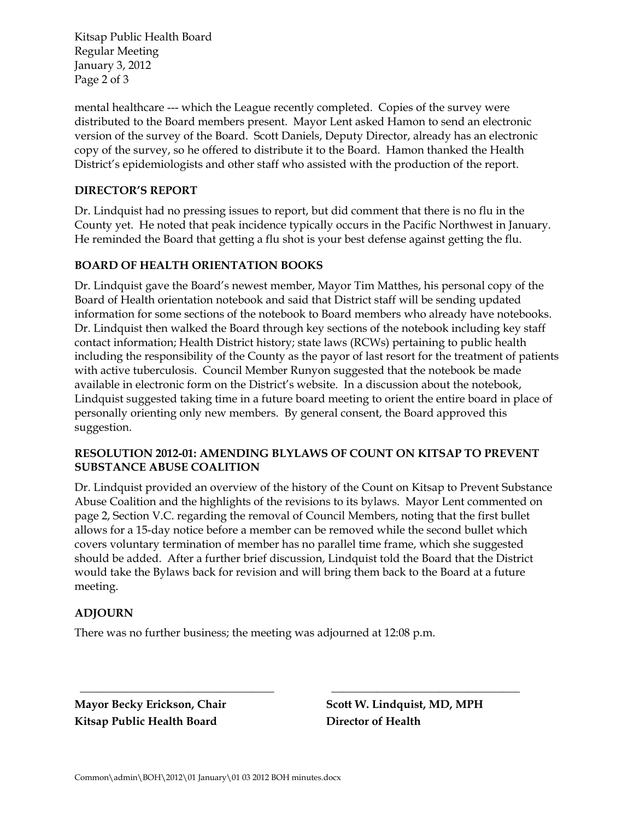Kitsap Public Health Board Regular Meeting January 3, 2012 Page 2 of 3

mental healthcare --- which the League recently completed. Copies of the survey were distributed to the Board members present. Mayor Lent asked Hamon to send an electronic version of the survey of the Board. Scott Daniels, Deputy Director, already has an electronic copy of the survey, so he offered to distribute it to the Board. Hamon thanked the Health District's epidemiologists and other staff who assisted with the production of the report.

## **DIRECTOR'S REPORT**

Dr. Lindquist had no pressing issues to report, but did comment that there is no flu in the County yet. He noted that peak incidence typically occurs in the Pacific Northwest in January. He reminded the Board that getting a flu shot is your best defense against getting the flu.

### **BOARD OF HEALTH ORIENTATION BOOKS**

Dr. Lindquist gave the Board's newest member, Mayor Tim Matthes, his personal copy of the Board of Health orientation notebook and said that District staff will be sending updated information for some sections of the notebook to Board members who already have notebooks. Dr. Lindquist then walked the Board through key sections of the notebook including key staff contact information; Health District history; state laws (RCWs) pertaining to public health including the responsibility of the County as the payor of last resort for the treatment of patients with active tuberculosis. Council Member Runyon suggested that the notebook be made available in electronic form on the District's website. In a discussion about the notebook, Lindquist suggested taking time in a future board meeting to orient the entire board in place of personally orienting only new members. By general consent, the Board approved this suggestion.

#### **RESOLUTION 2012-01: AMENDING BLYLAWS OF COUNT ON KITSAP TO PREVENT SUBSTANCE ABUSE COALITION**

Dr. Lindquist provided an overview of the history of the Count on Kitsap to Prevent Substance Abuse Coalition and the highlights of the revisions to its bylaws. Mayor Lent commented on page 2, Section V.C. regarding the removal of Council Members, noting that the first bullet allows for a 15-day notice before a member can be removed while the second bullet which covers voluntary termination of member has no parallel time frame, which she suggested should be added. After a further brief discussion, Lindquist told the Board that the District would take the Bylaws back for revision and will bring them back to the Board at a future meeting.

 **\_\_\_\_\_\_\_\_\_\_\_\_\_\_\_\_\_\_\_\_\_\_\_\_\_\_\_\_\_\_\_\_\_\_ \_\_\_\_\_\_\_\_\_\_\_\_\_\_\_\_\_\_\_\_\_\_\_\_\_\_\_\_\_\_\_\_\_** 

#### **ADJOURN**

There was no further business; the meeting was adjourned at 12:08 p.m.

**Kitsap Public Health Board Director of Health** 

Mayor Becky Erickson, Chair **Scott W. Lindquist, MD, MPH**